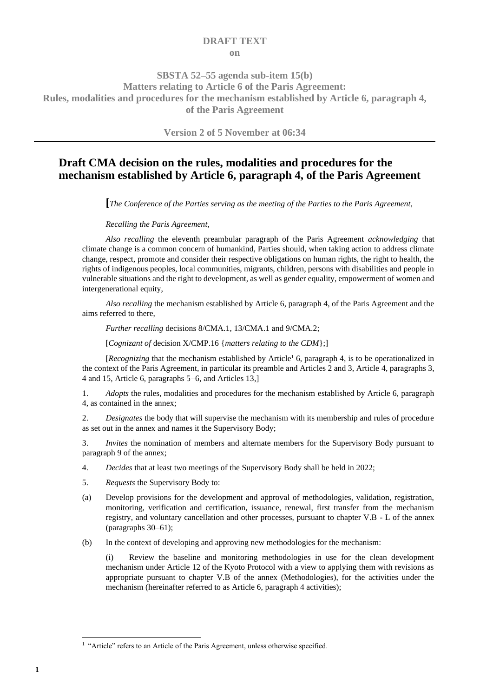#### **DRAFT TEXT on**

### **SBSTA 52–55 agenda sub-item 15(b) Matters relating to Article 6 of the Paris Agreement: Rules, modalities and procedures for the mechanism established by Article 6, paragraph 4, of the Paris Agreement**

**Version 2 of 5 November at 06:34**

## **Draft CMA decision on the rules, modalities and procedures for the mechanism established by Article 6, paragraph 4, of the Paris Agreement**

**[***The Conference of the Parties serving as the meeting of the Parties to the Paris Agreement,*

#### *Recalling the Paris Agreement,*

*Also recalling* the eleventh preambular paragraph of the Paris Agreement *acknowledging* that climate change is a common concern of humankind, Parties should, when taking action to address climate change, respect, promote and consider their respective obligations on human rights, the right to health, the rights of indigenous peoples, local communities, migrants, children, persons with disabilities and people in vulnerable situations and the right to development, as well as gender equality, empowerment of women and intergenerational equity,

*Also recalling* the mechanism established by Article 6, paragraph 4, of the Paris Agreement and the aims referred to there,

*Further recalling* decisions 8/CMA.1, 13/CMA.1 and 9/CMA.2;

[*Cognizant of* decision X/CMP.16 {*matters relating to the CDM*};]

*[Recognizing* that the mechanism established by Article<sup>1</sup> 6, paragraph 4, is to be operationalized in the context of the Paris Agreement, in particular its preamble and Articles 2 and 3, Article 4, paragraphs 3, 4 and 15, Article 6, paragraphs 5−6, and Articles 13,]

1. *Adopts* the rules, modalities and procedures for the mechanism established by Article 6, paragraph 4, as contained in the annex;

2. *Designates* the body that will supervise the mechanism with its membership and rules of procedure as set out in the annex and names it the Supervisory Body;

3. *Invites* the nomination of members and alternate members for the Supervisory Body pursuant to paragrap[h 9](#page-3-0) of the annex;

- 4. *Decides* that at least two meetings of the Supervisory Body shall be held in 2022;
- 5. *Requests* the Supervisory Body to:
- (a) Develop provisions for the development and approval of methodologies, validation, registration, monitoring, verification and certification, issuance, renewal, first transfer from the mechanism registry, and voluntary cancellation and other processes, pursuant to chapter V.B - L of the annex (paragraphs [30](#page-6-0)−[61\)](#page-10-0);
- (b) In the context of developing and approving new methodologies for the mechanism:

(i) Review the baseline and monitoring methodologies in use for the clean development mechanism under Article 12 of the Kyoto Protocol with a view to applying them with revisions as appropriate pursuant to chapter [V](#page-6-1)[.B](#page-7-0) of the annex (Methodologies), for the activities under the mechanism (hereinafter referred to as Article 6, paragraph 4 activities);

<sup>&</sup>lt;sup>1</sup> "Article" refers to an Article of the Paris Agreement, unless otherwise specified.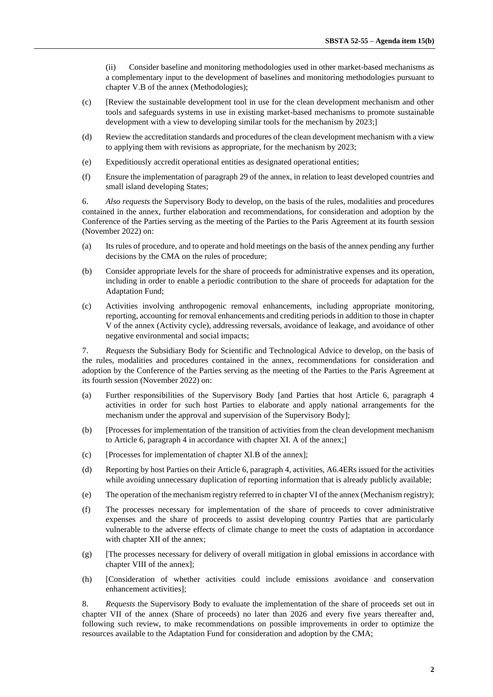(ii) Consider baseline and monitoring methodologies used in other market-based mechanisms as a complementary input to the development of baselines and monitoring methodologies pursuant to chapter V.B of the annex (Methodologies);

- (c) [Review the sustainable development tool in use for the clean development mechanism and other tools and safeguards systems in use in existing market-based mechanisms to promote sustainable development with a view to developing similar tools for the mechanism by 2023;
- (d) Review the accreditation standards and procedures of the clean development mechanism with a view to applying them with revisions as appropriate, for the mechanism by 2023;
- (e) Expeditiously accredit operational entities as designated operational entities;
- (f) Ensure the implementation of paragraph 29 of the annex, in relation to least developed countries and small island developing States;

6. *Also requests* the Supervisory Body to develop, on the basis of the rules, modalities and procedures contained in the annex, further elaboration and recommendations, for consideration and adoption by the Conference of the Parties serving as the meeting of the Parties to the Paris Agreement at its fourth session (November 2022) on:

- (a) Its rules of procedure, and to operate and hold meetings on the basis of the annex pending any further decisions by the CMA on the rules of procedure;
- (b) Consider appropriate levels for the share of proceeds for administrative expenses and its operation, including in order to enable a periodic contribution to the share of proceeds for adaptation for the Adaptation Fund;
- (c) Activities involving anthropogenic removal enhancements, including appropriate monitoring, reporting, accounting for removal enhancements and crediting periods in addition to those in chapter V of the annex (Activity cycle), addressing reversals, avoidance of leakage, and avoidance of other negative environmental and social impacts;

7. *Requests* the Subsidiary Body for Scientific and Technological Advice to develop, on the basis of the rules, modalities and procedures contained in the annex, recommendations for consideration and adoption by the Conference of the Parties serving as the meeting of the Parties to the Paris Agreement at its fourth session (November 2022) on:

- (a) Further responsibilities of the Supervisory Body [and Parties that host Article 6, paragraph 4 activities in order for such host Parties to elaborate and apply national arrangements for the mechanism under the approval and supervision of the Supervisory Body];
- (b) [Processes for implementation of the transition of activities from the clean development mechanism to Article 6, paragraph 4 in accordance with chapter XI. A of the annex;]
- (c) [Processes for implementation of chapter XI.B of the annex];
- (d) Reporting by host Parties on their Article 6, paragraph 4, activities, A6.4ERs issued for the activities while avoiding unnecessary duplication of reporting information that is already publicly available;
- (e) The operation of the mechanism registry referred to in chapter VI of the annex (Mechanism registry);
- (f) The processes necessary for implementation of the share of proceeds to cover administrative expenses and the share of proceeds to assist developing country Parties that are particularly vulnerable to the adverse effects of climate change to meet the costs of adaptation in accordance with chapter XII of the annex;
- (g) [The processes necessary for delivery of overall mitigation in global emissions in accordance with chapter VIII of the annex];
- (h) [Consideration of whether activities could include emissions avoidance and conservation enhancement activities];

8. *Requests* the Supervisory Body to evaluate the implementation of the share of proceeds set out in chapter VII of the annex (Share of proceeds) no later than 2026 and every five years thereafter and, following such review, to make recommendations on possible improvements in order to optimize the resources available to the Adaptation Fund for consideration and adoption by the CMA;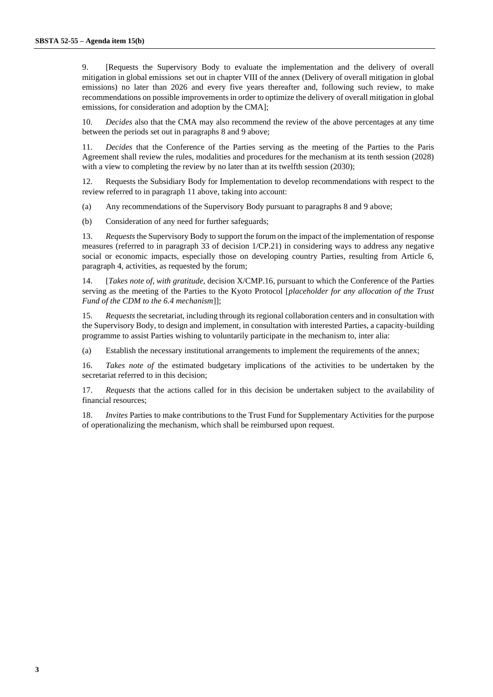9. [Requests the Supervisory Body to evaluate the implementation and the delivery of overall mitigation in global emissions set out in chapter VIII of the annex (Delivery of overall mitigation in global emissions) no later than 2026 and every five years thereafter and, following such review, to make recommendations on possible improvements in order to optimize the delivery of overall mitigation in global emissions, for consideration and adoption by the CMA];

10. *Decides* also that the CMA may also recommend the review of the above percentages at any time between the periods set out in paragraphs 8 and 9 above;

<span id="page-2-0"></span>11. *Decides* that the Conference of the Parties serving as the meeting of the Parties to the Paris Agreement shall review the rules, modalities and procedures for the mechanism at its tenth session (2028) with a view to completing the review by no later than at its twelfth session (2030);

12. Requests the Subsidiary Body for Implementation to develop recommendations with respect to the review referred to in paragraph [11 above,](#page-2-0) taking into account:

(a) Any recommendations of the Supervisory Body pursuant to paragraphs 8 and 9 above;

(b) Consideration of any need for further safeguards;

13. *Requests* the Supervisory Body to support the forum on the impact of the implementation of response measures (referred to in paragraph 33 of decision 1/CP.21) in considering ways to address any negative social or economic impacts, especially those on developing country Parties, resulting from Article 6, paragraph 4, activities, as requested by the forum;

14. [*Takes note of, with gratitude,* decision X/CMP.16, pursuant to which the Conference of the Parties serving as the meeting of the Parties to the Kyoto Protocol [*placeholder for any allocation of the Trust Fund of the CDM to the 6.4 mechanism*]];

15. *Requests* the secretariat, including through its regional collaboration centers and in consultation with the Supervisory Body, to design and implement, in consultation with interested Parties, a capacity-building programme to assist Parties wishing to voluntarily participate in the mechanism to, inter alia:

(a) Establish the necessary institutional arrangements to implement the requirements of the annex;

16. *Takes note of* the estimated budgetary implications of the activities to be undertaken by the secretariat referred to in this decision;

17. *Requests* that the actions called for in this decision be undertaken subject to the availability of financial resources;

18. *Invites* Parties to make contributions to the Trust Fund for Supplementary Activities for the purpose of operationalizing the mechanism, which shall be reimbursed upon request.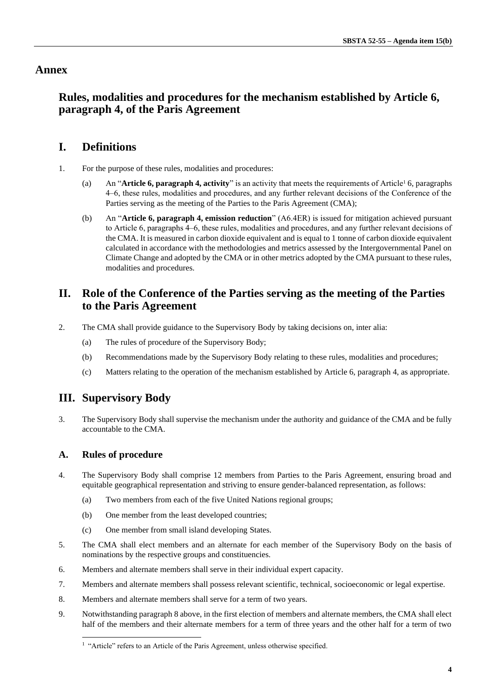### **Annex**

## **Rules, modalities and procedures for the mechanism established by Article 6, paragraph 4, of the Paris Agreement**

## **I. Definitions**

- 1. For the purpose of these rules, modalities and procedures:
	- (a) An "**Article 6, paragraph 4, activity**" is an activity that meets the requirements of Article<sup>1</sup> 6, paragraphs 4‒6, these rules, modalities and procedures, and any further relevant decisions of the Conference of the Parties serving as the meeting of the Parties to the Paris Agreement (CMA);
	- (b) An "**Article 6, paragraph 4, emission reduction**" (A6.4ER) is issued for mitigation achieved pursuant to Article 6, paragraphs 4–6, these rules, modalities and procedures, and any further relevant decisions of the CMA. It is measured in carbon dioxide equivalent and is equal to 1 tonne of carbon dioxide equivalent calculated in accordance with the methodologies and metrics assessed by the Intergovernmental Panel on Climate Change and adopted by the CMA or in other metrics adopted by the CMA pursuant to these rules, modalities and procedures.

## **II. Role of the Conference of the Parties serving as the meeting of the Parties to the Paris Agreement**

- 2. The CMA shall provide guidance to the Supervisory Body by taking decisions on, inter alia:
	- (a) The rules of procedure of the Supervisory Body;
	- (b) Recommendations made by the Supervisory Body relating to these rules, modalities and procedures;
	- (c) Matters relating to the operation of the mechanism established by Article 6, paragraph 4, as appropriate.

### **III. Supervisory Body**

3. The Supervisory Body shall supervise the mechanism under the authority and guidance of the CMA and be fully accountable to the CMA.

### **A. Rules of procedure**

- 4. The Supervisory Body shall comprise 12 members from Parties to the Paris Agreement, ensuring broad and equitable geographical representation and striving to ensure gender-balanced representation, as follows:
	- (a) Two members from each of the five United Nations regional groups;
	- (b) One member from the least developed countries;
	- (c) One member from small island developing States.
- 5. The CMA shall elect members and an alternate for each member of the Supervisory Body on the basis of nominations by the respective groups and constituencies.
- 6. Members and alternate members shall serve in their individual expert capacity.
- 7. Members and alternate members shall possess relevant scientific, technical, socioeconomic or legal expertise.
- <span id="page-3-1"></span>8. Members and alternate members shall serve for a term of two years.
- <span id="page-3-0"></span>9. Notwithstanding paragrap[h 8 above,](#page-3-1) in the first election of members and alternate members, the CMA shall elect half of the members and their alternate members for a term of three years and the other half for a term of two

<sup>&</sup>lt;sup>1</sup> "Article" refers to an Article of the Paris Agreement, unless otherwise specified.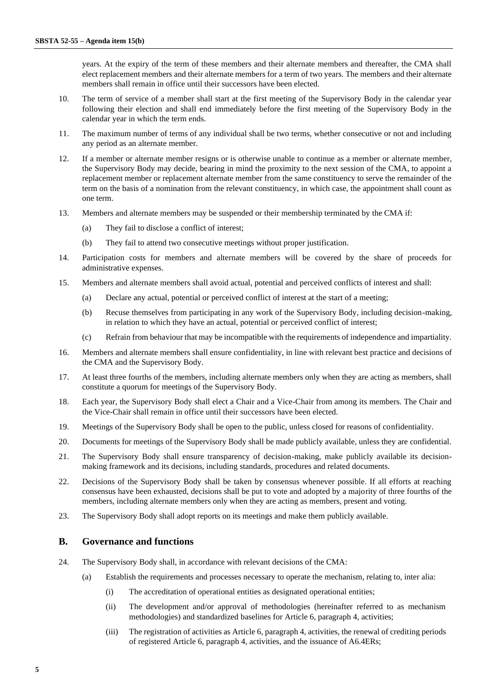years. At the expiry of the term of these members and their alternate members and thereafter, the CMA shall elect replacement members and their alternate members for a term of two years. The members and their alternate members shall remain in office until their successors have been elected.

- 10. The term of service of a member shall start at the first meeting of the Supervisory Body in the calendar year following their election and shall end immediately before the first meeting of the Supervisory Body in the calendar year in which the term ends.
- 11. The maximum number of terms of any individual shall be two terms, whether consecutive or not and including any period as an alternate member.
- 12. If a member or alternate member resigns or is otherwise unable to continue as a member or alternate member, the Supervisory Body may decide, bearing in mind the proximity to the next session of the CMA, to appoint a replacement member or replacement alternate member from the same constituency to serve the remainder of the term on the basis of a nomination from the relevant constituency, in which case, the appointment shall count as one term.
- 13. Members and alternate members may be suspended or their membership terminated by the CMA if:
	- (a) They fail to disclose a conflict of interest;
	- (b) They fail to attend two consecutive meetings without proper justification.
- 14. Participation costs for members and alternate members will be covered by the share of proceeds for administrative expenses.
- 15. Members and alternate members shall avoid actual, potential and perceived conflicts of interest and shall:
	- (a) Declare any actual, potential or perceived conflict of interest at the start of a meeting;
	- (b) Recuse themselves from participating in any work of the Supervisory Body, including decision-making, in relation to which they have an actual, potential or perceived conflict of interest;
	- (c) Refrain from behaviour that may be incompatible with the requirements of independence and impartiality.
- 16. Members and alternate members shall ensure confidentiality, in line with relevant best practice and decisions of the CMA and the Supervisory Body.
- 17. At least three fourths of the members, including alternate members only when they are acting as members, shall constitute a quorum for meetings of the Supervisory Body.
- 18. Each year, the Supervisory Body shall elect a Chair and a Vice-Chair from among its members. The Chair and the Vice-Chair shall remain in office until their successors have been elected.
- 19. Meetings of the Supervisory Body shall be open to the public, unless closed for reasons of confidentiality.
- 20. Documents for meetings of the Supervisory Body shall be made publicly available, unless they are confidential.
- 21. The Supervisory Body shall ensure transparency of decision-making, make publicly available its decisionmaking framework and its decisions, including standards, procedures and related documents.
- 22. Decisions of the Supervisory Body shall be taken by consensus whenever possible. If all efforts at reaching consensus have been exhausted, decisions shall be put to vote and adopted by a majority of three fourths of the members, including alternate members only when they are acting as members, present and voting.
- 23. The Supervisory Body shall adopt reports on its meetings and make them publicly available.

#### **B. Governance and functions**

- 24. The Supervisory Body shall, in accordance with relevant decisions of the CMA:
	- (a) Establish the requirements and processes necessary to operate the mechanism, relating to, inter alia:
		- (i) The accreditation of operational entities as designated operational entities;
		- (ii) The development and/or approval of methodologies (hereinafter referred to as mechanism methodologies) and standardized baselines for Article 6, paragraph 4, activities;
		- (iii) The registration of activities as Article 6, paragraph 4, activities, the renewal of crediting periods of registered Article 6, paragraph 4, activities, and the issuance of A6.4ERs;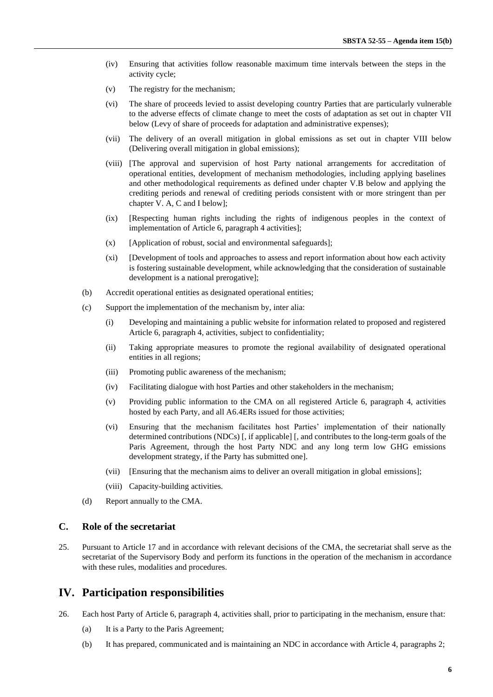- (iv) Ensuring that activities follow reasonable maximum time intervals between the steps in the activity cycle;
- (v) The registry for the mechanism;
- (vi) The share of proceeds levied to assist developing country Parties that are particularly vulnerable to the adverse effects of climate change to meet the costs of adaptation as set out in chapter VII below (Levy of share of proceeds for adaptation and administrative expenses);
- (vii) The delivery of an overall mitigation in global emissions as set out in chapter VIII below (Delivering overall mitigation in global emissions);
- (viii) [The approval and supervision of host Party national arrangements for accreditation of operational entities, development of mechanism methodologies, including applying baselines and other methodological requirements as defined under chapter V.B below and applying the crediting periods and renewal of crediting periods consistent with or more stringent than per chapter V. A, C and I below];
- (ix) [Respecting human rights including the rights of indigenous peoples in the context of implementation of Article 6, paragraph 4 activities];
- (x) [Application of robust, social and environmental safeguards];
- (xi) [Development of tools and approaches to assess and report information about how each activity is fostering sustainable development, while acknowledging that the consideration of sustainable development is a national prerogative];
- (b) Accredit operational entities as designated operational entities;
- (c) Support the implementation of the mechanism by, inter alia:
	- (i) Developing and maintaining a public website for information related to proposed and registered Article 6, paragraph 4, activities, subject to confidentiality;
	- (ii) Taking appropriate measures to promote the regional availability of designated operational entities in all regions;
	- (iii) Promoting public awareness of the mechanism;
	- (iv) Facilitating dialogue with host Parties and other stakeholders in the mechanism;
	- (v) Providing public information to the CMA on all registered Article 6, paragraph 4, activities hosted by each Party, and all A6.4ERs issued for those activities;
	- (vi) Ensuring that the mechanism facilitates host Parties' implementation of their nationally determined contributions (NDCs) [, if applicable] [, and contributes to the long-term goals of the Paris Agreement, through the host Party NDC and any long term low GHG emissions development strategy, if the Party has submitted one].
	- (vii) [Ensuring that the mechanism aims to deliver an overall mitigation in global emissions];
	- (viii) Capacity-building activities.
- (d) Report annually to the CMA.

#### **C. Role of the secretariat**

25. Pursuant to Article 17 and in accordance with relevant decisions of the CMA, the secretariat shall serve as the secretariat of the Supervisory Body and perform its functions in the operation of the mechanism in accordance with these rules, modalities and procedures.

### **IV. Participation responsibilities**

- 26. Each host Party of Article 6, paragraph 4, activities shall, prior to participating in the mechanism, ensure that:
	- (a) It is a Party to the Paris Agreement;
	- (b) It has prepared, communicated and is maintaining an NDC in accordance with Article 4, paragraphs 2;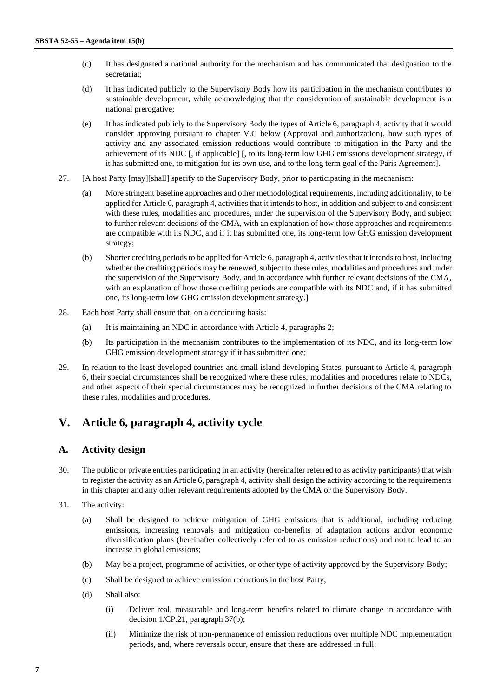- (c) It has designated a national authority for the mechanism and has communicated that designation to the secretariat;
- (d) It has indicated publicly to the Supervisory Body how its participation in the mechanism contributes to sustainable development, while acknowledging that the consideration of sustainable development is a national prerogative;
- (e) It has indicated publicly to the Supervisory Body the types of Article 6, paragraph 4, activity that it would consider approving pursuant to chapter [V](#page-6-1)[.C below](#page-8-0) (Approval and authorization), how such types of activity and any associated emission reductions would contribute to mitigation in the Party and the achievement of its NDC [, if applicable] [, to its long-term low GHG emissions development strategy, if it has submitted one, to mitigation for its own use, and to the long term goal of the Paris Agreement].
- <span id="page-6-2"></span>27. [A host Party [may][shall] specify to the Supervisory Body, prior to participating in the mechanism:
	- (a) More stringent baseline approaches and other methodological requirements, including additionality, to be applied for Article 6, paragraph 4, activities that it intends to host, in addition and subject to and consistent with these rules, modalities and procedures, under the supervision of the Supervisory Body, and subject to further relevant decisions of the CMA, with an explanation of how those approaches and requirements are compatible with its NDC, and if it has submitted one, its long-term low GHG emission development strategy;
	- (b) Shorter crediting periods to be applied for Article 6, paragraph 4, activities that it intends to host, including whether the crediting periods may be renewed, subject to these rules, modalities and procedures and under the supervision of the Supervisory Body, and in accordance with further relevant decisions of the CMA, with an explanation of how those crediting periods are compatible with its NDC and, if it has submitted one, its long-term low GHG emission development strategy.]
- <span id="page-6-3"></span>28. Each host Party shall ensure that, on a continuing basis:
	- (a) It is maintaining an NDC in accordance with Article 4, paragraphs 2;
	- (b) Its participation in the mechanism contributes to the implementation of its NDC, and its long-term low GHG emission development strategy if it has submitted one;
- 29. In relation to the least developed countries and small island developing States, pursuant to Article 4, paragraph 6, their special circumstances shall be recognized where these rules, modalities and procedures relate to NDCs, and other aspects of their special circumstances may be recognized in further decisions of the CMA relating to these rules, modalities and procedures.

## <span id="page-6-1"></span>**V. Article 6, paragraph 4, activity cycle**

#### **A. Activity design**

- <span id="page-6-0"></span>30. The public or private entities participating in an activity (hereinafter referred to as activity participants) that wish to register the activity as an Article 6, paragraph 4, activity shall design the activity according to the requirements in this chapter and any other relevant requirements adopted by the CMA or the Supervisory Body.
- 31. The activity:
	- (a) Shall be designed to achieve mitigation of GHG emissions that is additional, including reducing emissions, increasing removals and mitigation co-benefits of adaptation actions and/or economic diversification plans (hereinafter collectively referred to as emission reductions) and not to lead to an increase in global emissions;
	- (b) May be a project, programme of activities, or other type of activity approved by the Supervisory Body;
	- (c) Shall be designed to achieve emission reductions in the host Party;
	- (d) Shall also:
		- (i) Deliver real, measurable and long-term benefits related to climate change in accordance with decision 1/CP.21, paragraph 37(b);
		- (ii) Minimize the risk of non-permanence of emission reductions over multiple NDC implementation periods, and, where reversals occur, ensure that these are addressed in full;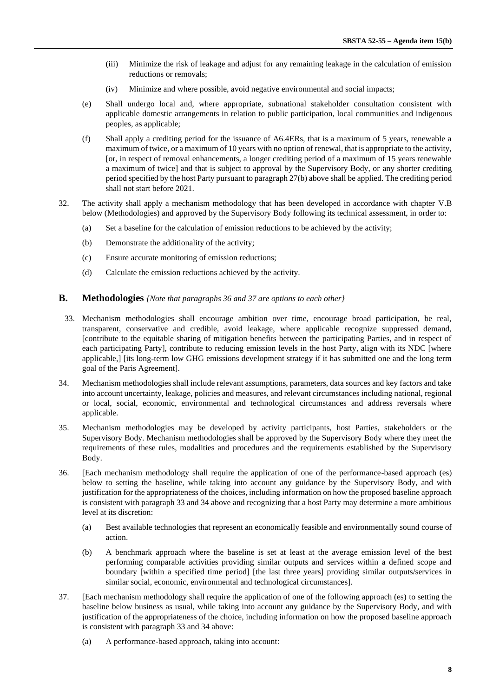- (iii) Minimize the risk of leakage and adjust for any remaining leakage in the calculation of emission reductions or removals;
- (iv) Minimize and where possible, avoid negative environmental and social impacts;
- (e) Shall undergo local and, where appropriate, subnational stakeholder consultation consistent with applicable domestic arrangements in relation to public participation, local communities and indigenous peoples, as applicable;
- (f) Shall apply a crediting period for the issuance of A6.4ERs, that is a maximum of 5 years, renewable a maximum of twice, or a maximum of 10 years with no option of renewal, that is appropriate to the activity, [or, in respect of removal enhancements, a longer crediting period of a maximum of 15 years renewable a maximum of twice] and that is subject to approval by the Supervisory Body, or any shorter crediting period specified by the host Party pursuant to paragrap[h 27](#page-6-2)[\(b\) above](#page-6-3) shall be applied. The crediting period shall not start before 2021.
- 32. The activity shall apply a mechanism methodology that has been developed in accordance with chapter [V](#page-6-1)[.B](#page-7-0)  [below](#page-7-0) (Methodologies) and approved by the Supervisory Body following its technical assessment, in order to:
	- (a) Set a baseline for the calculation of emission reductions to be achieved by the activity;
	- (b) Demonstrate the additionality of the activity;
	- (c) Ensure accurate monitoring of emission reductions;
	- (d) Calculate the emission reductions achieved by the activity.

#### <span id="page-7-0"></span>**B. Methodologies** *{Note that paragraphs 36 and 37 are options to each other}*

- 33. Mechanism methodologies shall encourage ambition over time, encourage broad participation, be real, transparent, conservative and credible, avoid leakage, where applicable recognize suppressed demand, [contribute to the equitable sharing of mitigation benefits between the participating Parties, and in respect of each participating Party], contribute to reducing emission levels in the host Party, align with its NDC [where applicable,] [its long-term low GHG emissions development strategy if it has submitted one and the long term goal of the Paris Agreement].
- 34. Mechanism methodologies shall include relevant assumptions, parameters, data sources and key factors and take into account uncertainty, leakage, policies and measures, and relevant circumstances including national, regional or local, social, economic, environmental and technological circumstances and address reversals where applicable.
- 35. Mechanism methodologies may be developed by activity participants, host Parties, stakeholders or the Supervisory Body. Mechanism methodologies shall be approved by the Supervisory Body where they meet the requirements of these rules, modalities and procedures and the requirements established by the Supervisory Body.
- 36. [Each mechanism methodology shall require the application of one of the performance-based approach (es) below to setting the baseline, while taking into account any guidance by the Supervisory Body, and with justification for the appropriateness of the choices, including information on how the proposed baseline approach is consistent with paragraph 33 and 34 above and recognizing that a host Party may determine a more ambitious level at its discretion:
	- (a) Best available technologies that represent an economically feasible and environmentally sound course of action.
	- (b) A benchmark approach where the baseline is set at least at the average emission level of the best performing comparable activities providing similar outputs and services within a defined scope and boundary [within a specified time period] [the last three years] providing similar outputs/services in similar social, economic, environmental and technological circumstances].
- 37. [Each mechanism methodology shall require the application of one of the following approach (es) to setting the baseline below business as usual, while taking into account any guidance by the Supervisory Body, and with justification of the appropriateness of the choice, including information on how the proposed baseline approach is consistent with paragraph 33 and 34 above:
	- (a) A performance-based approach, taking into account: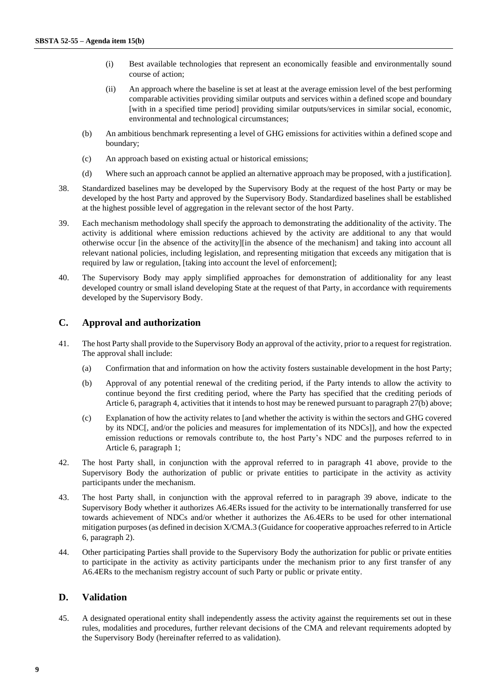- (i) Best available technologies that represent an economically feasible and environmentally sound course of action;
- (ii) An approach where the baseline is set at least at the average emission level of the best performing comparable activities providing similar outputs and services within a defined scope and boundary [with in a specified time period] providing similar outputs/services in similar social, economic, environmental and technological circumstances;
- (b) An ambitious benchmark representing a level of GHG emissions for activities within a defined scope and boundary;
- (c) An approach based on existing actual or historical emissions;
- (d) Where such an approach cannot be applied an alternative approach may be proposed, with a justification].
- 38. Standardized baselines may be developed by the Supervisory Body at the request of the host Party or may be developed by the host Party and approved by the Supervisory Body. Standardized baselines shall be established at the highest possible level of aggregation in the relevant sector of the host Party.
- 39. Each mechanism methodology shall specify the approach to demonstrating the additionality of the activity. The activity is additional where emission reductions achieved by the activity are additional to any that would otherwise occur [in the absence of the activity][in the absence of the mechanism] and taking into account all relevant national policies, including legislation, and representing mitigation that exceeds any mitigation that is required by law or regulation, [taking into account the level of enforcement];
- 40. The Supervisory Body may apply simplified approaches for demonstration of additionality for any least developed country or small island developing State at the request of that Party, in accordance with requirements developed by the Supervisory Body.

#### <span id="page-8-0"></span>**C. Approval and authorization**

- <span id="page-8-2"></span><span id="page-8-1"></span>41. The host Party shall provide to the Supervisory Body an approval of the activity, prior to a request for registration. The approval shall include:
	- (a) Confirmation that and information on how the activity fosters sustainable development in the host Party;
	- (b) Approval of any potential renewal of the crediting period, if the Party intends to allow the activity to continue beyond the first crediting period, where the Party has specified that the crediting periods of Article 6, paragraph 4, activities that it intends to host may be renewed pursuant to paragrap[h 27](#page-6-2)[\(b\) above;](#page-6-3)
	- (c) Explanation of how the activity relates to [and whether the activity is within the sectors and GHG covered by its NDC[, and/or the policies and measures for implementation of its NDCs]], and how the expected emission reductions or removals contribute to, the host Party's NDC and the purposes referred to in Article 6, paragraph 1;
- 42. The host Party shall, in conjunction with the approval referred to in paragraph [41 above,](#page-8-1) provide to the Supervisory Body the authorization of public or private entities to participate in the activity as activity participants under the mechanism.
- 43. The host Party shall, in conjunction with the approval referred to in paragraph 39 above, indicate to the Supervisory Body whether it authorizes A6.4ERs issued for the activity to be internationally transferred for use towards achievement of NDCs and/or whether it authorizes the A6.4ERs to be used for other international mitigation purposes (as defined in decision X/CMA.3 (Guidance for cooperative approaches referred to in Article 6, paragraph 2).
- 44. Other participating Parties shall provide to the Supervisory Body the authorization for public or private entities to participate in the activity as activity participants under the mechanism prior to any first transfer of any A6.4ERs to the mechanism registry account of such Party or public or private entity.

#### **D. Validation**

45. A designated operational entity shall independently assess the activity against the requirements set out in these rules, modalities and procedures, further relevant decisions of the CMA and relevant requirements adopted by the Supervisory Body (hereinafter referred to as validation).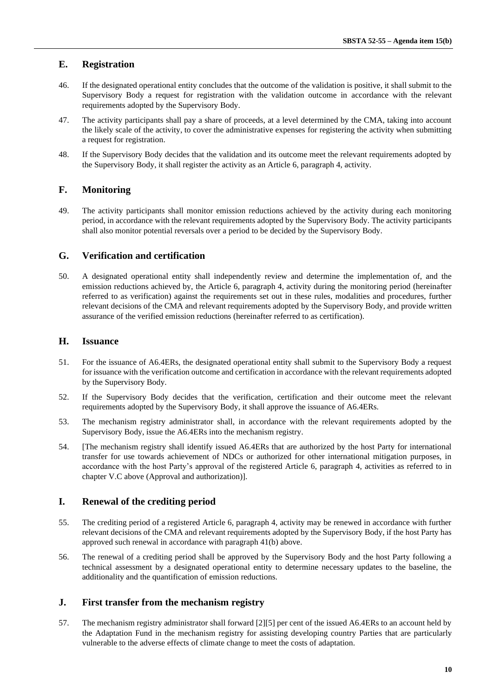### **E. Registration**

- 46. If the designated operational entity concludes that the outcome of the validation is positive, it shall submit to the Supervisory Body a request for registration with the validation outcome in accordance with the relevant requirements adopted by the Supervisory Body.
- 47. The activity participants shall pay a share of proceeds, at a level determined by the CMA, taking into account the likely scale of the activity, to cover the administrative expenses for registering the activity when submitting a request for registration.
- 48. If the Supervisory Body decides that the validation and its outcome meet the relevant requirements adopted by the Supervisory Body, it shall register the activity as an Article 6, paragraph 4, activity.

### **F. Monitoring**

49. The activity participants shall monitor emission reductions achieved by the activity during each monitoring period, in accordance with the relevant requirements adopted by the Supervisory Body. The activity participants shall also monitor potential reversals over a period to be decided by the Supervisory Body.

#### **G. Verification and certification**

50. A designated operational entity shall independently review and determine the implementation of, and the emission reductions achieved by, the Article 6, paragraph 4, activity during the monitoring period (hereinafter referred to as verification) against the requirements set out in these rules, modalities and procedures, further relevant decisions of the CMA and relevant requirements adopted by the Supervisory Body, and provide written assurance of the verified emission reductions (hereinafter referred to as certification).

### **H. Issuance**

- 51. For the issuance of A6.4ERs, the designated operational entity shall submit to the Supervisory Body a request for issuance with the verification outcome and certification in accordance with the relevant requirements adopted by the Supervisory Body.
- 52. If the Supervisory Body decides that the verification, certification and their outcome meet the relevant requirements adopted by the Supervisory Body, it shall approve the issuance of A6.4ERs.
- 53. The mechanism registry administrator shall, in accordance with the relevant requirements adopted by the Supervisory Body, issue the A6.4ERs into the mechanism registry.
- 54. [The mechanism registry shall identify issued A6.4ERs that are authorized by the host Party for international transfer for use towards achievement of NDCs or authorized for other international mitigation purposes, in accordance with the host Party's approval of the registered Article 6, paragraph 4, activities as referred to in chapter V[.C above](#page-8-0) (Approval and authorization)].

### **I. Renewal of the crediting period**

- 55. The crediting period of a registered Article 6, paragraph 4, activity may be renewed in accordance with further relevant decisions of the CMA and relevant requirements adopted by the Supervisory Body, if the host Party has approved such renewal in accordance with paragrap[h 41](#page-8-1)[\(b\) above.](#page-8-2)
- 56. The renewal of a crediting period shall be approved by the Supervisory Body and the host Party following a technical assessment by a designated operational entity to determine necessary updates to the baseline, the additionality and the quantification of emission reductions.

### **J. First transfer from the mechanism registry**

57. The mechanism registry administrator shall forward [2][5] per cent of the issued A6.4ERs to an account held by the Adaptation Fund in the mechanism registry for assisting developing country Parties that are particularly vulnerable to the adverse effects of climate change to meet the costs of adaptation.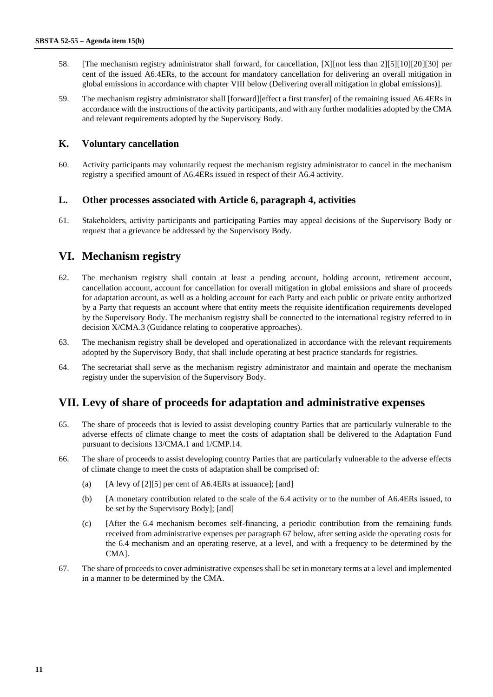- 58. [The mechanism registry administrator shall forward, for cancellation, [X][not less than 2][5][10][20][30] per cent of the issued A6.4ERs, to the account for mandatory cancellation for delivering an overall mitigation in global emissions in accordance with chapte[r VIII below](#page-11-0) (Delivering overall mitigation in global emissions)].
- 59. The mechanism registry administrator shall [forward][effect a first transfer] of the remaining issued A6.4ERs in accordance with the instructions of the activity participants, and with any further modalities adopted by the CMA and relevant requirements adopted by the Supervisory Body.

#### **K. Voluntary cancellation**

60. Activity participants may voluntarily request the mechanism registry administrator to cancel in the mechanism registry a specified amount of A6.4ERs issued in respect of their A6.4 activity.

#### **L. Other processes associated with Article 6, paragraph 4, activities**

<span id="page-10-0"></span>61. Stakeholders, activity participants and participating Parties may appeal decisions of the Supervisory Body or request that a grievance be addressed by the Supervisory Body.

## **VI. Mechanism registry**

- 62. The mechanism registry shall contain at least a pending account, holding account, retirement account, cancellation account, account for cancellation for overall mitigation in global emissions and share of proceeds for adaptation account, as well as a holding account for each Party and each public or private entity authorized by a Party that requests an account where that entity meets the requisite identification requirements developed by the Supervisory Body. The mechanism registry shall be connected to the international registry referred to in decision X/CMA.3 (Guidance relating to cooperative approaches).
- 63. The mechanism registry shall be developed and operationalized in accordance with the relevant requirements adopted by the Supervisory Body, that shall include operating at best practice standards for registries.
- 64. The secretariat shall serve as the mechanism registry administrator and maintain and operate the mechanism registry under the supervision of the Supervisory Body.

## **VII. Levy of share of proceeds for adaptation and administrative expenses**

- 65. The share of proceeds that is levied to assist developing country Parties that are particularly vulnerable to the adverse effects of climate change to meet the costs of adaptation shall be delivered to the Adaptation Fund pursuant to decisions 13/CMA.1 and 1/CMP.14.
- 66. The share of proceeds to assist developing country Parties that are particularly vulnerable to the adverse effects of climate change to meet the costs of adaptation shall be comprised of:
	- (a)  $[A]$  [A levy of [2][5] per cent of A6.4ERs at issuance]; [and]
	- (b) [A monetary contribution related to the scale of the 6.4 activity or to the number of A6.4ERs issued, to be set by the Supervisory Body]; [and]
	- (c) [After the 6.4 mechanism becomes self-financing, a periodic contribution from the remaining funds received from administrative expenses per paragraph 67 below, after setting aside the operating costs for the 6.4 mechanism and an operating reserve, at a level, and with a frequency to be determined by the CMA].
- 67. The share of proceeds to cover administrative expenses shall be set in monetary terms at a level and implemented in a manner to be determined by the CMA.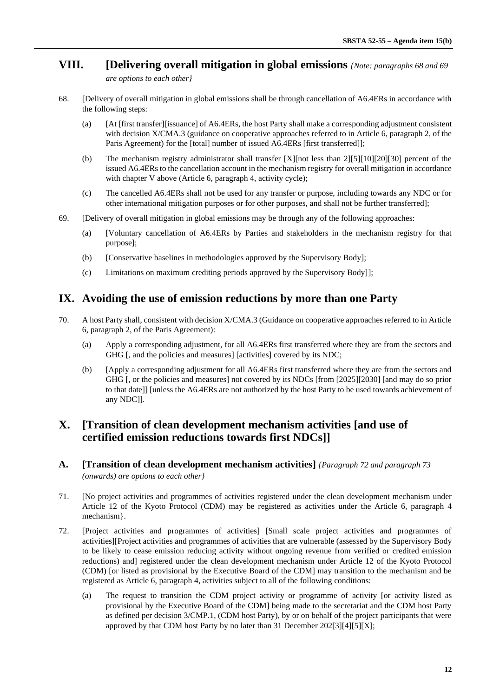# <span id="page-11-0"></span>**VIII. [Delivering overall mitigation in global emissions** *{Note: paragraphs 68 and 69*

*are options to each other}* 

- 68. [Delivery of overall mitigation in global emissions shall be through cancellation of A6.4ERs in accordance with the following steps:
	- (a) [At [first transfer][issuance] of A6.4ERs, the host Party shall make a corresponding adjustment consistent with decision X/CMA.3 (guidance on cooperative approaches referred to in Article 6, paragraph 2, of the Paris Agreement) for the [total] number of issued A6.4ERs [first transferred]];
	- (b) The mechanism registry administrator shall transfer [X][not less than 2][5][10][20][30] percent of the issued A6.4ERs to the cancellation account in the mechanism registry for overall mitigation in accordance with chapter [V above](#page-6-1) (Article 6, paragraph 4, activity cycle);
	- (c) The cancelled A6.4ERs shall not be used for any transfer or purpose, including towards any NDC or for other international mitigation purposes or for other purposes, and shall not be further transferred];
- 69. [Delivery of overall mitigation in global emissions may be through any of the following approaches:
	- (a) [Voluntary cancellation of A6.4ERs by Parties and stakeholders in the mechanism registry for that purpose];
	- (b) [Conservative baselines in methodologies approved by the Supervisory Body];
	- (c) Limitations on maximum crediting periods approved by the Supervisory Body]];

## **IX. Avoiding the use of emission reductions by more than one Party**

- 70. A host Party shall, consistent with decision X/CMA.3 (Guidance on cooperative approaches referred to in Article 6, paragraph 2, of the Paris Agreement):
	- (a) Apply a corresponding adjustment, for all A6.4ERs first transferred where they are from the sectors and GHG [, and the policies and measures] [activities] covered by its NDC;
	- (b) [Apply a corresponding adjustment for all A6.4ERs first transferred where they are from the sectors and GHG [, or the policies and measures] not covered by its NDCs [from [2025][2030] [and may do so prior to that date]] [unless the A6.4ERs are not authorized by the host Party to be used towards achievement of any NDC]].

## **X. [Transition of clean development mechanism activities [and use of certified emission reductions towards first NDCs]]**

- **A. [Transition of clean development mechanism activities]** *{Paragraph 72 and paragraph 73 (onwards) are options to each other}*
- 71. [No project activities and programmes of activities registered under the clean development mechanism under Article 12 of the Kyoto Protocol (CDM) may be registered as activities under the Article 6, paragraph 4 mechanism}.
- 72. [Project activities and programmes of activities] [Small scale project activities and programmes of activities][Project activities and programmes of activities that are vulnerable (assessed by the Supervisory Body to be likely to cease emission reducing activity without ongoing revenue from verified or credited emission reductions) and] registered under the clean development mechanism under Article 12 of the Kyoto Protocol (CDM) [or listed as provisional by the Executive Board of the CDM] may transition to the mechanism and be registered as Article 6, paragraph 4, activities subject to all of the following conditions:
	- (a) The request to transition the CDM project activity or programme of activity [or activity listed as provisional by the Executive Board of the CDM] being made to the secretariat and the CDM host Party as defined per decision 3/CMP.1, (CDM host Party), by or on behalf of the project participants that were approved by that CDM host Party by no later than 31 December 202[3][4][5][X];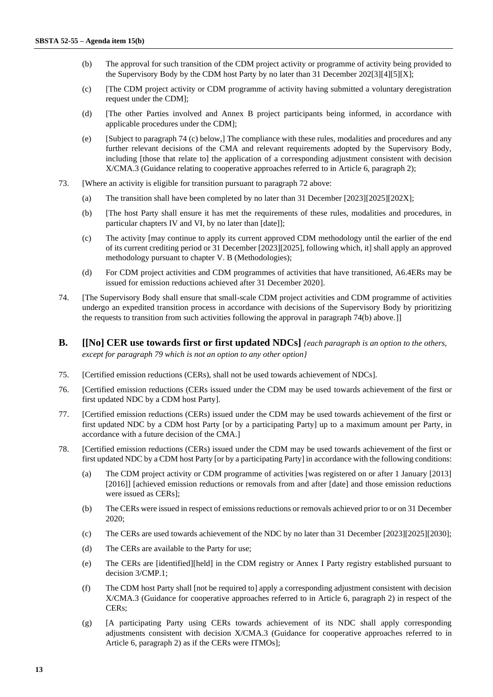- (b) The approval for such transition of the CDM project activity or programme of activity being provided to the Supervisory Body by the CDM host Party by no later than 31 December 202[3][4][5][X];
- (c) [The CDM project activity or CDM programme of activity having submitted a voluntary deregistration request under the CDM];
- (d) [The other Parties involved and Annex B project participants being informed, in accordance with applicable procedures under the CDM];
- (e) [Subject to paragraph 74 (c) below,] The compliance with these rules, modalities and procedures and any further relevant decisions of the CMA and relevant requirements adopted by the Supervisory Body, including [those that relate to] the application of a corresponding adjustment consistent with decision X/CMA.3 (Guidance relating to cooperative approaches referred to in Article 6, paragraph 2);
- 73. [Where an activity is eligible for transition pursuant to paragraph 72 above:
	- (a) The transition shall have been completed by no later than 31 December [2023][2025][202X];
	- (b) [The host Party shall ensure it has met the requirements of these rules, modalities and procedures, in particular chapters IV and VI, by no later than [date]];
	- (c) The activity [may continue to apply its current approved CDM methodology until the earlier of the end of its current crediting period or 31 December [2023][2025], following which, it] shall apply an approved methodology pursuant to chapter V. B (Methodologies);
	- (d) For CDM project activities and CDM programmes of activities that have transitioned, A6.4ERs may be issued for emission reductions achieved after 31 December 2020].
- 74. [The Supervisory Body shall ensure that small-scale CDM project activities and CDM programme of activities undergo an expedited transition process in accordance with decisions of the Supervisory Body by prioritizing the requests to transition from such activities following the approval in paragraph 74(b) above.]]
- **B. [[No] CER use towards first or first updated NDCs]** *{each paragraph is an option to the others, except for paragraph 79 which is not an option to any other option}*
- 75. [Certified emission reductions (CERs), shall not be used towards achievement of NDCs].
- 76. [Certified emission reductions (CERs issued under the CDM may be used towards achievement of the first or first updated NDC by a CDM host Party].
- 77. [Certified emission reductions (CERs) issued under the CDM may be used towards achievement of the first or first updated NDC by a CDM host Party [or by a participating Party] up to a maximum amount per Party, in accordance with a future decision of the CMA.]
- 78. [Certified emission reductions (CERs) issued under the CDM may be used towards achievement of the first or first updated NDC by a CDM host Party [or by a participating Party] in accordance with the following conditions:
	- (a) The CDM project activity or CDM programme of activities [was registered on or after 1 January [2013] [2016]] [achieved emission reductions or removals from and after [date] and those emission reductions were issued as CERs];
	- (b) The CERs were issued in respect of emissions reductions or removals achieved prior to or on 31 December 2020;
	- (c) The CERs are used towards achievement of the NDC by no later than 31 December [2023][2025][2030];
	- (d) The CERs are available to the Party for use;
	- (e) The CERs are [identified][held] in the CDM registry or Annex I Party registry established pursuant to decision 3/CMP.1;
	- (f) The CDM host Party shall [not be required to] apply a corresponding adjustment consistent with decision X/CMA.3 (Guidance for cooperative approaches referred to in Article 6, paragraph 2) in respect of the CERs;
	- (g) [A participating Party using CERs towards achievement of its NDC shall apply corresponding adjustments consistent with decision X/CMA.3 (Guidance for cooperative approaches referred to in Article 6, paragraph 2) as if the CERs were ITMOs];